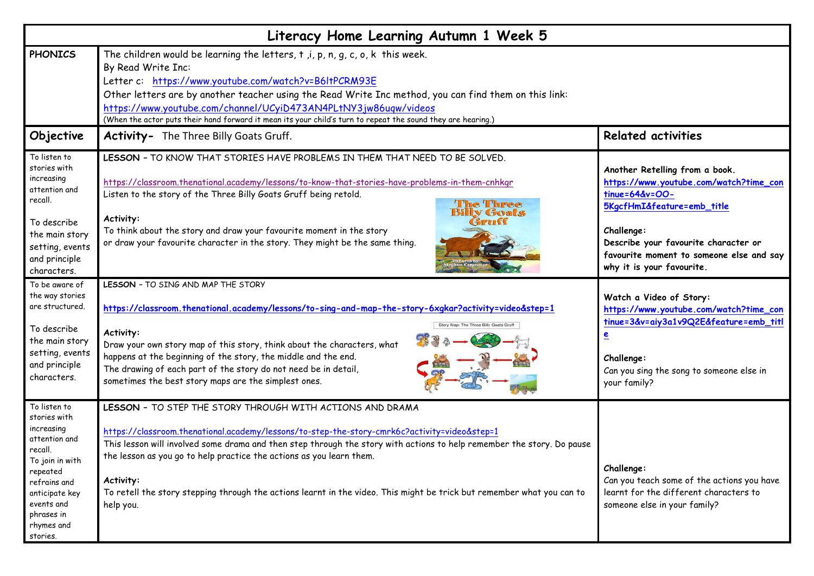| Literacy Home Learning Autumn 1 Week 5                                                                                                                                                        |                                                                                                                                                                                                                                                                                                                                                                                                                                                                                                                 |                                                                                                                                                                                                                                                         |  |
|-----------------------------------------------------------------------------------------------------------------------------------------------------------------------------------------------|-----------------------------------------------------------------------------------------------------------------------------------------------------------------------------------------------------------------------------------------------------------------------------------------------------------------------------------------------------------------------------------------------------------------------------------------------------------------------------------------------------------------|---------------------------------------------------------------------------------------------------------------------------------------------------------------------------------------------------------------------------------------------------------|--|
| <b>PHONICS</b>                                                                                                                                                                                | The children would be learning the letters, $t$ , $i$ , $p$ , $n$ , $g$ , $c$ , $o$ , $k$ this week.<br>By Read Write Inc:<br>Letter c: https://www.youtube.com/watch?v=B6ltPCRM93E<br>Other letters are by another teacher using the Read Write Inc method, you can find them on this link:<br>https://www.youtube.com/channel/UCyiD473AN4PLtNY3jw86uqw/videos<br>(When the actor puts their hand forward it mean its your child's turn to repeat the sound they are hearing.)                                 |                                                                                                                                                                                                                                                         |  |
| Objective                                                                                                                                                                                     | <b>Activity-</b> The Three Billy Goats Gruff.                                                                                                                                                                                                                                                                                                                                                                                                                                                                   | <b>Related activities</b>                                                                                                                                                                                                                               |  |
| To listen to<br>stories with<br>increasing<br>attention and<br>recall.<br>To describe<br>the main story<br>setting, events<br>and principle<br>characters.                                    | LESSON - TO KNOW THAT STORIES HAVE PROBLEMS IN THEM THAT NEED TO BE SOLVED.<br>https://classroom.thenational.academy/lessons/to-know-that-stories-have-problems-in-them-cnhkgr<br>Listen to the story of the Three Billy Goats Gruff being retold.<br><b>The Three</b><br><b>Billy Goats</b><br>Activity:<br>Gruff<br>To think about the story and draw your favourite moment in the story<br>or draw your favourite character in the story. They might be the same thing.                                      | Another Retelling from a book.<br>https://www.youtube.com/watch?time_con<br>tinue=64&v=OO-<br>5KgcfHmI&feature=emb_title<br>Challenge:<br>Describe your favourite character or<br>favourite moment to someone else and say<br>why it is your favourite. |  |
| To be aware of<br>the way stories<br>are structured.<br>To describe<br>the main story<br>setting, events<br>and principle<br>characters.                                                      | LESSON - TO SING AND MAP THE STORY<br>https://classroom.thenational.academy/lessons/to-sing-and-map-the-story-6xgkar?activity=video&step=1<br>Story Map: The Three Billy Goats Gruff<br>Activity:<br>Draw your own story map of this story, think about the characters, what<br>happens at the beginning of the story, the middle and the end.<br>The drawing of each part of the story do not need be in detail,<br>sometimes the best story maps are the simplest ones.                                       | Watch a Video of Story:<br>https://www.youtube.com/watch?time_con<br>tinue=3&v=aiy3a1v9Q2E&feature=emb_titl<br>e<br>Challenge:<br>Can you sing the song to someone else in<br>your family?                                                              |  |
| To listen to<br>stories with<br>increasing<br>attention and<br>recall.<br>To join in with<br>repeated<br>refrains and<br>anticipate key<br>events and<br>phrases in<br>rhymes and<br>stories. | LESSON - TO STEP THE STORY THROUGH WITH ACTIONS AND DRAMA<br>https://classroom.thenational.academy/lessons/to-step-the-story-cmrk6c?activity=video&step=1<br>This lesson will involved some drama and then step through the story with actions to help remember the story. Do pause<br>the lesson as you go to help practice the actions as you learn them.<br>Activity:<br>To retell the story stepping through the actions learnt in the video. This might be trick but remember what you can to<br>help you. | Challenge:<br>Can you teach some of the actions you have<br>learnt for the different characters to<br>someone else in your family?                                                                                                                      |  |